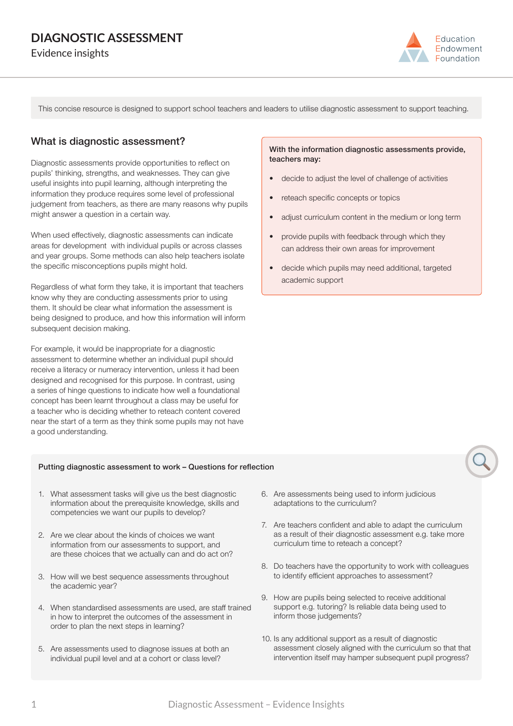# **DIAGNOSTIC ASSESSMENT**

Evidence insights



This concise resource is designed to support school teachers and leaders to utilise diagnostic assessment to support teaching.

### What is diagnostic assessment?

Diagnostic assessments provide opportunities to reflect on pupils' thinking, strengths, and weaknesses. They can give useful insights into pupil learning, although interpreting the information they produce requires some level of professional judgement from teachers, as there are many reasons why pupils might answer a question in a certain way.

When used effectively, diagnostic assessments can indicate areas for development with individual pupils or across classes and year groups. Some methods can also help teachers isolate the specific misconceptions pupils might hold.

Regardless of what form they take, it is important that teachers know why they are conducting assessments prior to using them. It should be clear what information the assessment is being designed to produce, and how this information will inform subsequent decision making.

For example, it would be inappropriate for a diagnostic assessment to determine whether an individual pupil should receive a literacy or numeracy intervention, unless it had been designed and recognised for this purpose. In contrast, using a series of hinge questions to indicate how well a foundational concept has been learnt throughout a class may be useful for a teacher who is deciding whether to reteach content covered near the start of a term as they think some pupils may not have a good understanding.

#### With the information diagnostic assessments provide, teachers may:

- decide to adjust the level of challenge of activities
- reteach specific concepts or topics
- adjust curriculum content in the medium or long term
- provide pupils with feedback through which they can address their own areas for improvement
- decide which pupils may need additional, targeted academic support

#### Putting diagnostic assessment to work – Questions for reflection

- 1. What assessment tasks will give us the best diagnostic information about the prerequisite knowledge, skills and competencies we want our pupils to develop?
- 2. Are we clear about the kinds of choices we want information from our assessments to support, and are these choices that we actually can and do act on?
- 3. How will we best sequence assessments throughout the academic year?
- 4. When standardised assessments are used, are staff trained in how to interpret the outcomes of the assessment in order to plan the next steps in learning?
- 5. Are assessments used to diagnose issues at both an individual pupil level and at a cohort or class level?
- 6. Are assessments being used to inform judicious adaptations to the curriculum?
- 7. Are teachers confident and able to adapt the curriculum as a result of their diagnostic assessment e.g. take more curriculum time to reteach a concept?
- 8. Do teachers have the opportunity to work with colleagues to identify efficient approaches to assessment?
- 9. How are pupils being selected to receive additional support e.g. tutoring? Is reliable data being used to inform those judgements?
- 10. Is any additional support as a result of diagnostic assessment closely aligned with the curriculum so that that intervention itself may hamper subsequent pupil progress?